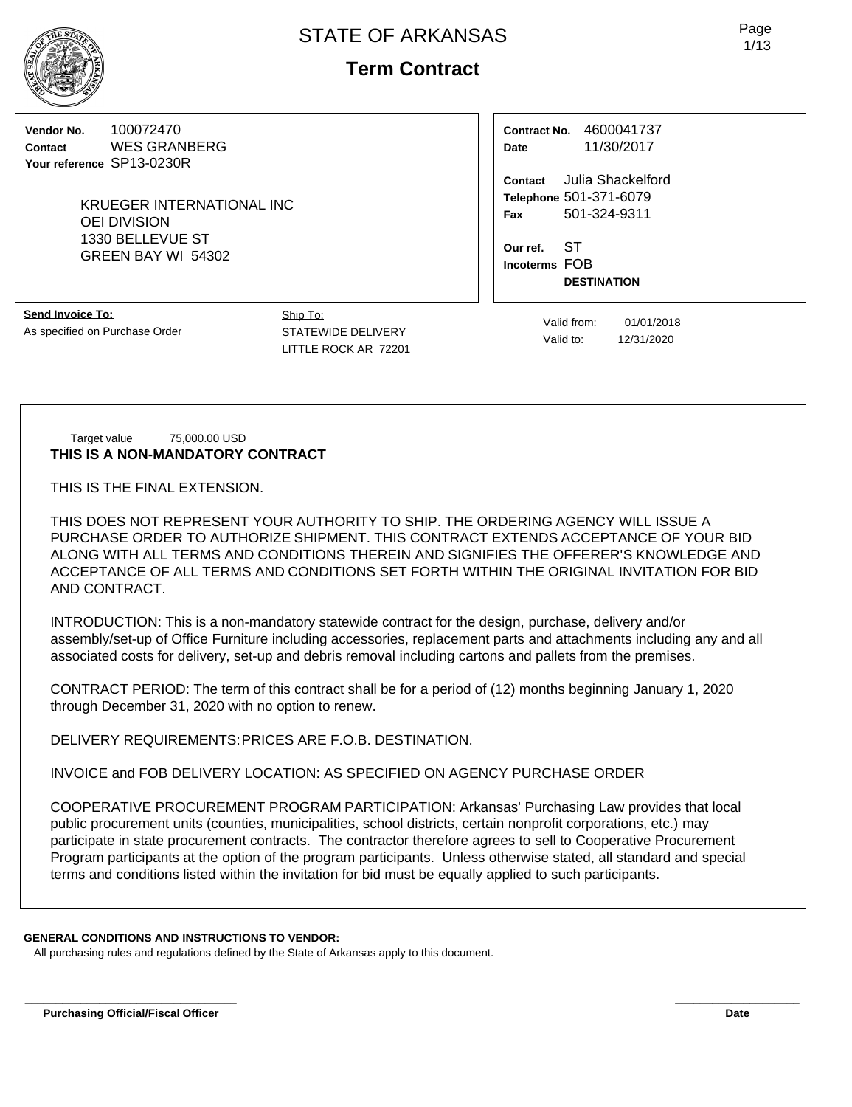**Term Contract**

**Vendor No.** 100072470 **Contact** WES GRANBERG **Your reference** SP13-0230R

> KRUEGER INTERNATIONAL INC OEI DIVISION 1330 BELLEVUE ST GREEN BAY WI 54302

**Contract No.** 4600041737 **Date** 11/30/2017

**Contact** Julia Shackelford **Telephone** 501-371-6079 **Fax** 501-324-9311

**Our ref.** ST **Incoterms** FOB **DESTINATION**

**Send Invoice To:** As specified on Purchase Order Ship To: STATEWIDE DELIVERY LITTLE ROCK AR 72201

Valid from: 01/01/2018 Valid to: 12/31/2020

Target value 75,000.00 USD **THIS IS A NON-MANDATORY CONTRACT**

THIS IS THE FINAL EXTENSION.

THIS DOES NOT REPRESENT YOUR AUTHORITY TO SHIP. THE ORDERING AGENCY WILL ISSUE A PURCHASE ORDER TO AUTHORIZE SHIPMENT. THIS CONTRACT EXTENDS ACCEPTANCE OF YOUR BID ALONG WITH ALL TERMS AND CONDITIONS THEREIN AND SIGNIFIES THE OFFERER'S KNOWLEDGE AND ACCEPTANCE OF ALL TERMS AND CONDITIONS SET FORTH WITHIN THE ORIGINAL INVITATION FOR BID AND CONTRACT.

INTRODUCTION: This is a non-mandatory statewide contract for the design, purchase, delivery and/or assembly/set-up of Office Furniture including accessories, replacement parts and attachments including any and all associated costs for delivery, set-up and debris removal including cartons and pallets from the premises.

CONTRACT PERIOD: The term of this contract shall be for a period of (12) months beginning January 1, 2020 through December 31, 2020 with no option to renew.

DELIVERY REQUIREMENTS:PRICES ARE F.O.B. DESTINATION.

INVOICE and FOB DELIVERY LOCATION: AS SPECIFIED ON AGENCY PURCHASE ORDER

COOPERATIVE PROCUREMENT PROGRAM PARTICIPATION: Arkansas' Purchasing Law provides that local public procurement units (counties, municipalities, school districts, certain nonprofit corporations, etc.) may participate in state procurement contracts. The contractor therefore agrees to sell to Cooperative Procurement Program participants at the option of the program participants. Unless otherwise stated, all standard and special terms and conditions listed within the invitation for bid must be equally applied to such participants.

**\_\_\_\_\_\_\_\_\_\_\_\_\_\_\_\_\_\_\_\_\_\_\_\_\_\_\_\_\_\_\_\_\_\_ \_\_\_\_\_\_\_\_\_\_\_\_\_\_\_\_\_\_\_\_**

## **GENERAL CONDITIONS AND INSTRUCTIONS TO VENDOR:**

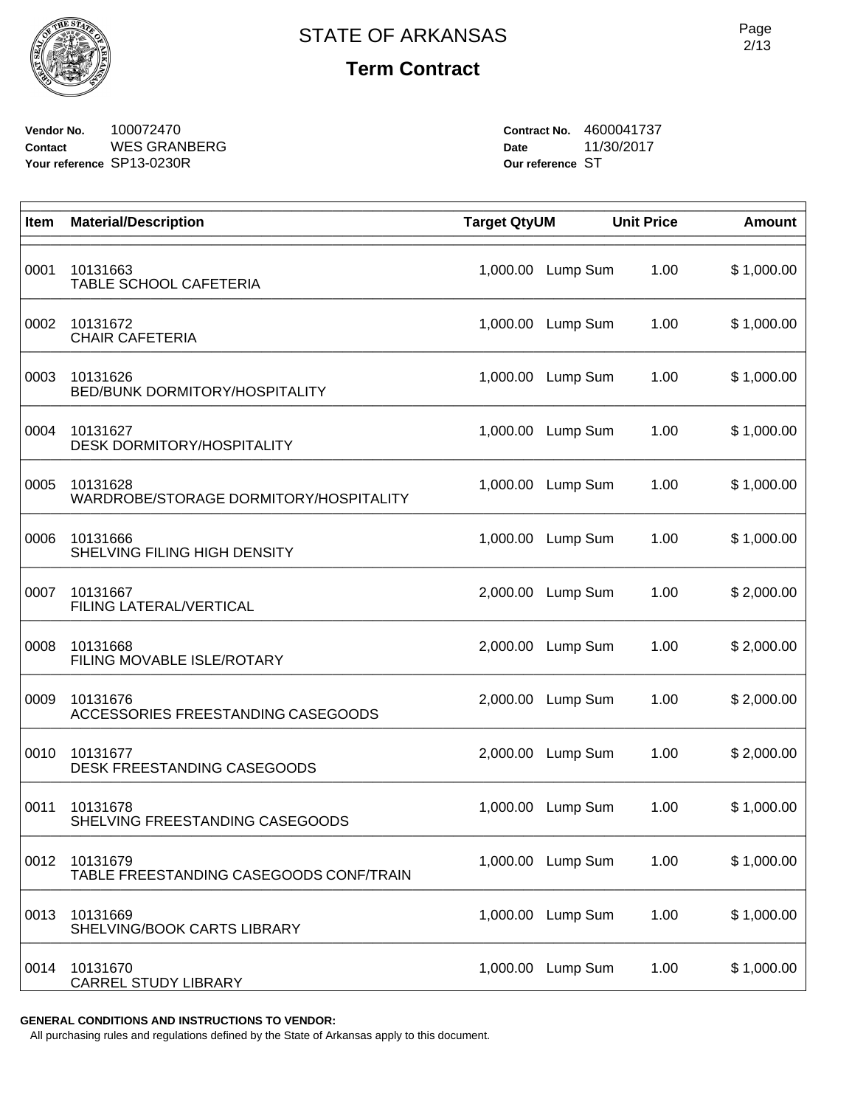

**Vendor No.** 100072470 **Contact** WES GRANBERG **Your reference** SP13-0230R

**Contract No.** 4600041737 **Date** 11/30/2017 **Our reference** ST

| Item | <b>Material/Description</b>                         | <b>Target QtyUM</b> |          | <b>Unit Price</b> | <b>Amount</b> |
|------|-----------------------------------------------------|---------------------|----------|-------------------|---------------|
| 0001 | 10131663<br>TABLE SCHOOL CAFETERIA                  | 1,000.00            | Lump Sum | 1.00              | \$1,000.00    |
| 0002 | 10131672<br><b>CHAIR CAFETERIA</b>                  | 1,000.00            | Lump Sum | 1.00              | \$1,000.00    |
| 0003 | 10131626<br>BED/BUNK DORMITORY/HOSPITALITY          | 1,000.00            | Lump Sum | 1.00              | \$1,000.00    |
| 0004 | 10131627<br><b>DESK DORMITORY/HOSPITALITY</b>       | 1,000.00            | Lump Sum | 1.00              | \$1,000.00    |
| 0005 | 10131628<br>WARDROBE/STORAGE DORMITORY/HOSPITALITY  | 1,000.00            | Lump Sum | 1.00              | \$1,000.00    |
| 0006 | 10131666<br>SHELVING FILING HIGH DENSITY            | 1,000.00            | Lump Sum | 1.00              | \$1,000.00    |
| 0007 | 10131667<br>FILING LATERAL/VERTICAL                 | 2,000.00            | Lump Sum | 1.00              | \$2,000.00    |
| 0008 | 10131668<br>FILING MOVABLE ISLE/ROTARY              | 2,000.00            | Lump Sum | 1.00              | \$2,000.00    |
| 0009 | 10131676<br>ACCESSORIES FREESTANDING CASEGOODS      | 2,000.00            | Lump Sum | 1.00              | \$2,000.00    |
| 0010 | 10131677<br>DESK FREESTANDING CASEGOODS             | 2,000.00            | Lump Sum | 1.00              | \$2,000.00    |
| 0011 | 10131678<br>SHELVING FREESTANDING CASEGOODS         | 1,000.00            | Lump Sum | 1.00              | \$1,000.00    |
| 0012 | 10131679<br>TABLE FREESTANDING CASEGOODS CONF/TRAIN | 1,000.00            | Lump Sum | 1.00              | \$1,000.00    |
| 0013 | 10131669<br>SHELVING/BOOK CARTS LIBRARY             | 1,000.00            | Lump Sum | 1.00              | \$1,000.00    |
| 0014 | 10131670<br><b>CARREL STUDY LIBRARY</b>             | 1,000.00            | Lump Sum | 1.00              | \$1,000.00    |

**GENERAL CONDITIONS AND INSTRUCTIONS TO VENDOR:**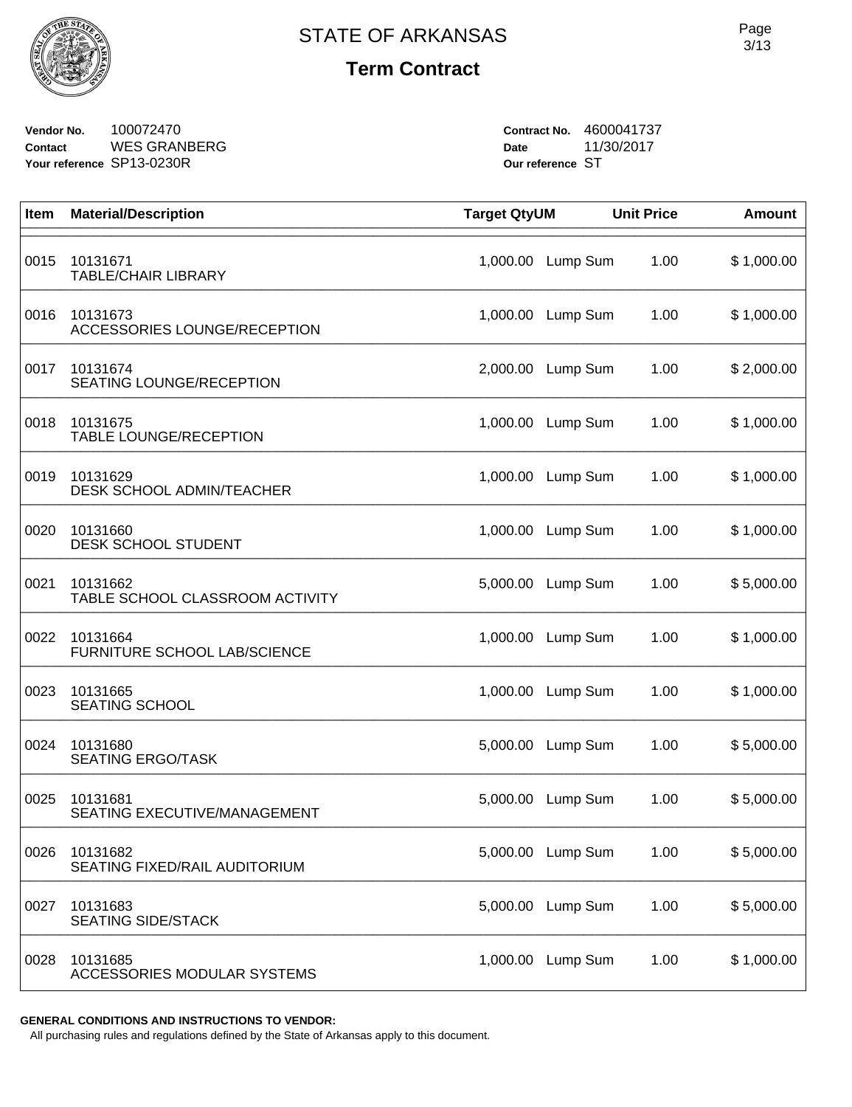

**Vendor No.** 100072470 **Contact** WES GRANBERG **Your reference** SP13-0230R

**Contract No.** 4600041737 **Date** 11/30/2017 **Our reference** ST

| Item | <b>Material/Description</b>                 | <b>Target QtyUM</b> |          | <b>Unit Price</b> | <b>Amount</b> |
|------|---------------------------------------------|---------------------|----------|-------------------|---------------|
| 0015 | 10131671<br><b>TABLE/CHAIR LIBRARY</b>      | 1,000.00            | Lump Sum | 1.00              | \$1,000.00    |
| 0016 | 10131673<br>ACCESSORIES LOUNGE/RECEPTION    | 1,000.00            | Lump Sum | 1.00              | \$1,000.00    |
| 0017 | 10131674<br>SEATING LOUNGE/RECEPTION        | 2,000.00            | Lump Sum | 1.00              | \$2,000.00    |
| 0018 | 10131675<br><b>TABLE LOUNGE/RECEPTION</b>   | 1,000.00            | Lump Sum | 1.00              | \$1,000.00    |
| 0019 | 10131629<br>DESK SCHOOL ADMIN/TEACHER       | 1,000.00            | Lump Sum | 1.00              | \$1,000.00    |
| 0020 | 10131660<br>DESK SCHOOL STUDENT             | 1,000.00            | Lump Sum | 1.00              | \$1,000.00    |
| 0021 | 10131662<br>TABLE SCHOOL CLASSROOM ACTIVITY | 5,000.00            | Lump Sum | 1.00              | \$5,000.00    |
| 0022 | 10131664<br>FURNITURE SCHOOL LAB/SCIENCE    | 1,000.00            | Lump Sum | 1.00              | \$1,000.00    |
| 0023 | 10131665<br><b>SEATING SCHOOL</b>           | 1,000.00            | Lump Sum | 1.00              | \$1,000.00    |
| 0024 | 10131680<br><b>SEATING ERGO/TASK</b>        | 5,000.00            | Lump Sum | 1.00              | \$5,000.00    |
| 0025 | 10131681<br>SEATING EXECUTIVE/MANAGEMENT    | 5,000.00            | Lump Sum | 1.00              | \$5,000.00    |
| 0026 | 10131682<br>SEATING FIXED/RAIL AUDITORIUM   | 5,000.00            | Lump Sum | 1.00              | \$5,000.00    |
| 0027 | 10131683<br><b>SEATING SIDE/STACK</b>       | 5,000.00            | Lump Sum | 1.00              | \$5,000.00    |
| 0028 | 10131685<br>ACCESSORIES MODULAR SYSTEMS     | 1,000.00            | Lump Sum | 1.00              | \$1,000.00    |

**GENERAL CONDITIONS AND INSTRUCTIONS TO VENDOR:**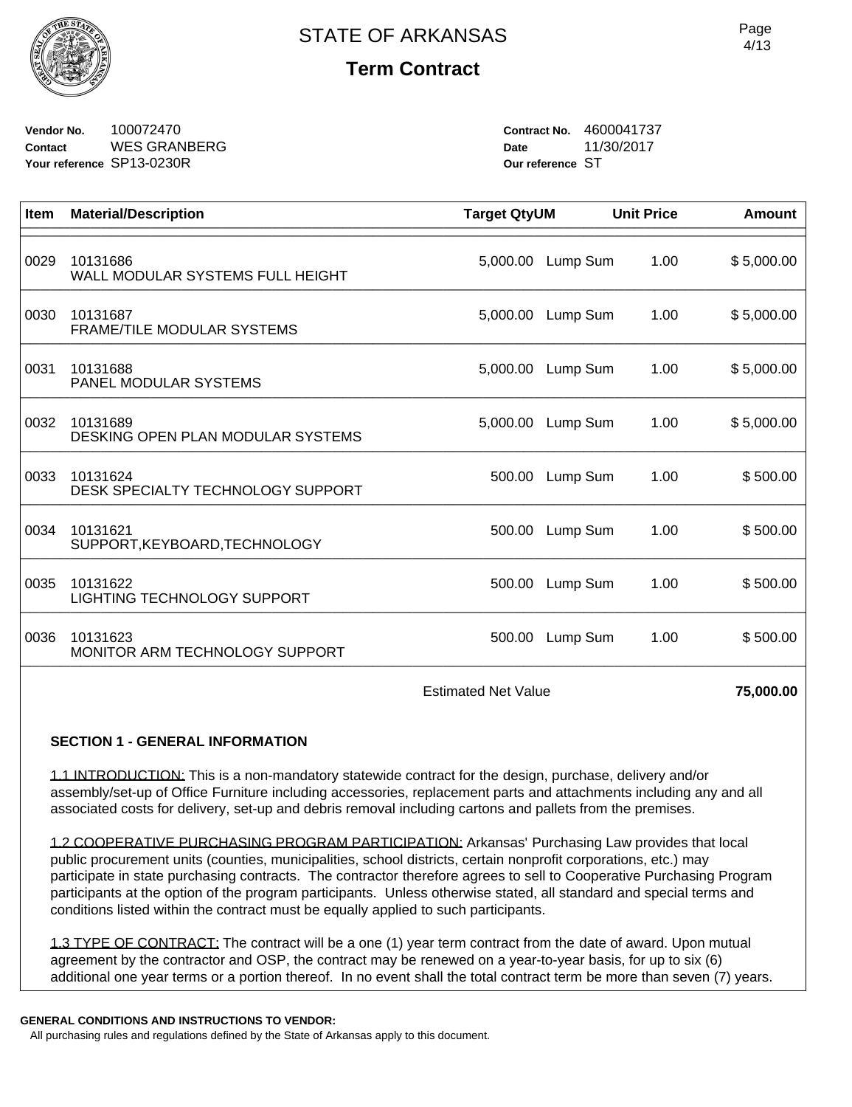

**Vendor No.** 100072470 **Contact** WES GRANBERG **Your reference** SP13-0230R

**Contract No.** 4600041737 **Date** 11/30/2017 **Our reference** ST

| Item | <b>Material/Description</b>                    | <b>Target QtyUM</b> |                   | <b>Unit Price</b> | Amount     |
|------|------------------------------------------------|---------------------|-------------------|-------------------|------------|
| 0029 | 10131686<br>WALL MODULAR SYSTEMS FULL HEIGHT   | 5,000.00            | Lump Sum          | 1.00              | \$5,000.00 |
| 0030 | 10131687<br><b>FRAME/TILE MODULAR SYSTEMS</b>  |                     | 5,000.00 Lump Sum | 1.00              | \$5,000.00 |
| 0031 | 10131688<br>PANEL MODULAR SYSTEMS              | 5,000.00            | Lump Sum          | 1.00              | \$5,000.00 |
| 0032 | 10131689<br>DESKING OPEN PLAN MODULAR SYSTEMS  | 5,000.00            | Lump Sum          | 1.00              | \$5,000.00 |
| 0033 | 10131624<br>DESK SPECIALTY TECHNOLOGY SUPPORT  | 500.00              | Lump Sum          | 1.00              | \$500.00   |
| 0034 | 10131621<br>SUPPORT, KEYBOARD, TECHNOLOGY      | 500.00              | Lump Sum          | 1.00              | \$500.00   |
| 0035 | 10131622<br><b>LIGHTING TECHNOLOGY SUPPORT</b> | 500.00              | Lump Sum          | 1.00              | \$500.00   |
| 0036 | 10131623<br>MONITOR ARM TECHNOLOGY SUPPORT     |                     | 500.00 Lump Sum   | 1.00              | \$500.00   |

Estimated Net Value **75,000.00** 

### **SECTION 1 - GENERAL INFORMATION**

1.1 INTRODUCTION: This is a non-mandatory statewide contract for the design, purchase, delivery and/or assembly/set-up of Office Furniture including accessories, replacement parts and attachments including any and all associated costs for delivery, set-up and debris removal including cartons and pallets from the premises.

1.2 COOPERATIVE PURCHASING PROGRAM PARTICIPATION: Arkansas' Purchasing Law provides that local public procurement units (counties, municipalities, school districts, certain nonprofit corporations, etc.) may participate in state purchasing contracts. The contractor therefore agrees to sell to Cooperative Purchasing Program participants at the option of the program participants. Unless otherwise stated, all standard and special terms and conditions listed within the contract must be equally applied to such participants.

1.3 TYPE OF CONTRACT: The contract will be a one (1) year term contract from the date of award. Upon mutual agreement by the contractor and OSP, the contract may be renewed on a year-to-year basis, for up to six (6) additional one year terms or a portion thereof. In no event shall the total contract term be more than seven (7) years.

#### **GENERAL CONDITIONS AND INSTRUCTIONS TO VENDOR:**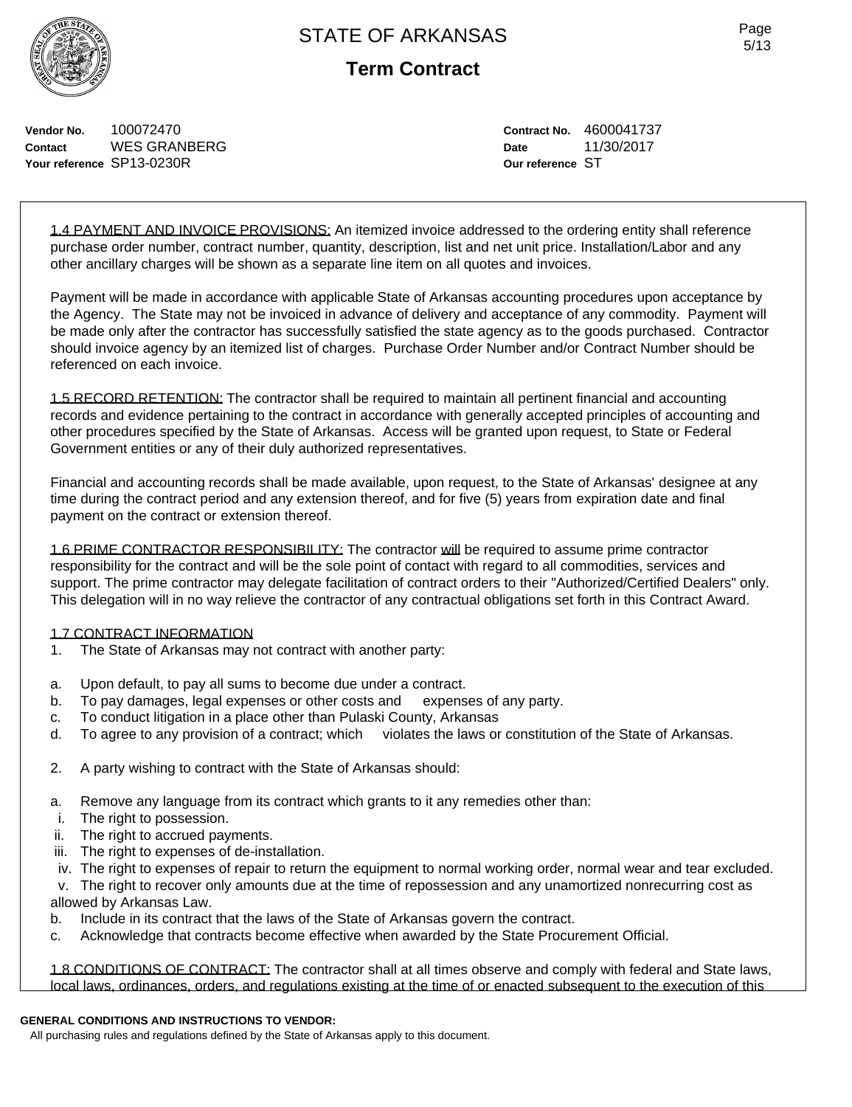

**Vendor No.** 100072470 **Contact** WES GRANBERG **Your reference** SP13-0230R

**Contract No.** 4600041737 **Date** 11/30/2017 **Our reference** ST

1.4 PAYMENT AND INVOICE PROVISIONS: An itemized invoice addressed to the ordering entity shall reference purchase order number, contract number, quantity, description, list and net unit price. Installation/Labor and any other ancillary charges will be shown as a separate line item on all quotes and invoices.

Payment will be made in accordance with applicable State of Arkansas accounting procedures upon acceptance by the Agency. The State may not be invoiced in advance of delivery and acceptance of any commodity. Payment will be made only after the contractor has successfully satisfied the state agency as to the goods purchased. Contractor should invoice agency by an itemized list of charges. Purchase Order Number and/or Contract Number should be referenced on each invoice.

1.5 RECORD RETENTION: The contractor shall be required to maintain all pertinent financial and accounting records and evidence pertaining to the contract in accordance with generally accepted principles of accounting and other procedures specified by the State of Arkansas. Access will be granted upon request, to State or Federal Government entities or any of their duly authorized representatives.

Financial and accounting records shall be made available, upon request, to the State of Arkansas' designee at any time during the contract period and any extension thereof, and for five (5) years from expiration date and final payment on the contract or extension thereof.

1.6 PRIME CONTRACTOR RESPONSIBILITY: The contractor will be required to assume prime contractor responsibility for the contract and will be the sole point of contact with regard to all commodities, services and support. The prime contractor may delegate facilitation of contract orders to their "Authorized/Certified Dealers" only. This delegation will in no way relieve the contractor of any contractual obligations set forth in this Contract Award.

#### 1.7 CONTRACT INFORMATION

- 1. The State of Arkansas may not contract with another party:
- a. Upon default, to pay all sums to become due under a contract.
- b. To pay damages, legal expenses or other costs and expenses of any party.
- c. To conduct litigation in a place other than Pulaski County, Arkansas
- d. To agree to any provision of a contract; which violates the laws or constitution of the State of Arkansas.
- 2. A party wishing to contract with the State of Arkansas should:
- a. Remove any language from its contract which grants to it any remedies other than:
- i. The right to possession.
- ii. The right to accrued payments.
- iii. The right to expenses of de-installation.
- iv. The right to expenses of repair to return the equipment to normal working order, normal wear and tear excluded.

 v. The right to recover only amounts due at the time of repossession and any unamortized nonrecurring cost as allowed by Arkansas Law.

- b. Include in its contract that the laws of the State of Arkansas govern the contract.
- c. Acknowledge that contracts become effective when awarded by the State Procurement Official.

1.8 CONDITIONS OF CONTRACT: The contractor shall at all times observe and comply with federal and State laws, local laws, ordinances, orders, and regulations existing at the time of or enacted subsequent to the execution of this

#### **GENERAL CONDITIONS AND INSTRUCTIONS TO VENDOR:**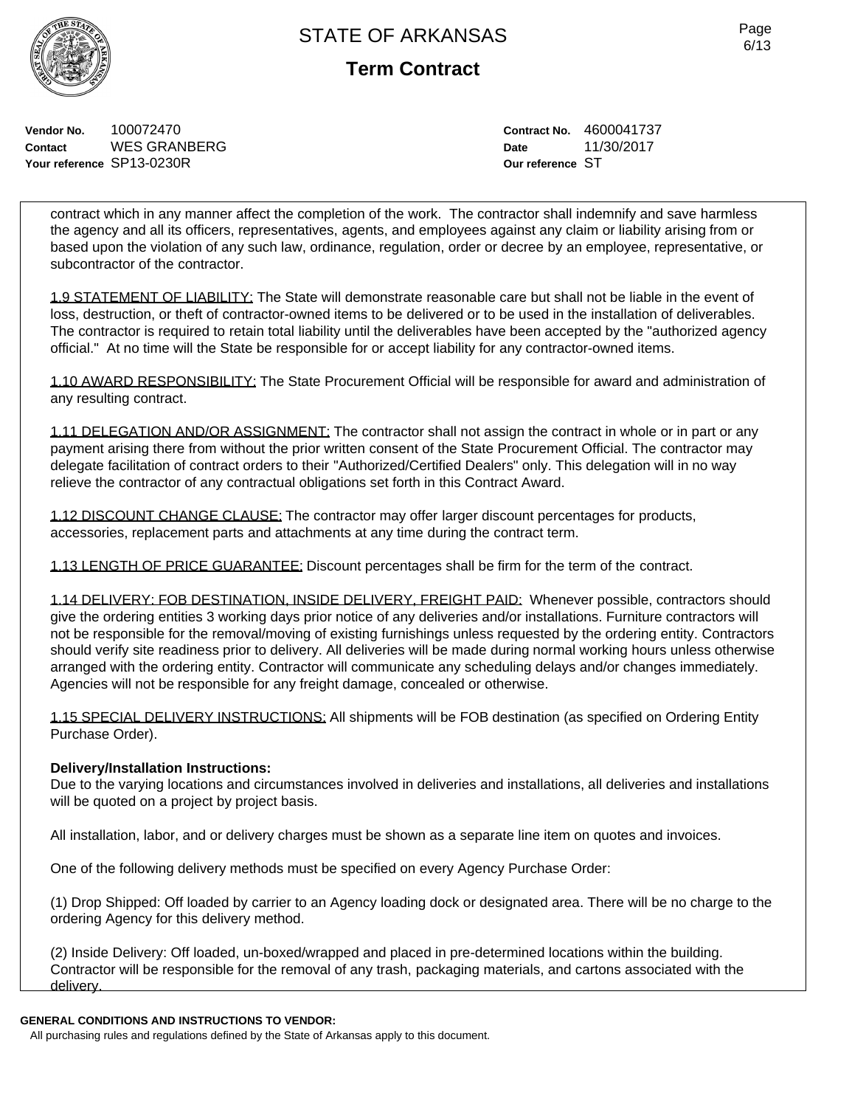**Term Contract**

**Vendor No.** 100072470 **Contact** WES GRANBERG **Your reference** SP13-0230R

**Contract No.** 4600041737 **Date** 11/30/2017 **Our reference** ST

contract which in any manner affect the completion of the work. The contractor shall indemnify and save harmless the agency and all its officers, representatives, agents, and employees against any claim or liability arising from or based upon the violation of any such law, ordinance, regulation, order or decree by an employee, representative, or subcontractor of the contractor.

1.9 STATEMENT OF LIABILITY: The State will demonstrate reasonable care but shall not be liable in the event of loss, destruction, or theft of contractor-owned items to be delivered or to be used in the installation of deliverables. The contractor is required to retain total liability until the deliverables have been accepted by the "authorized agency official." At no time will the State be responsible for or accept liability for any contractor-owned items.

1.10 AWARD RESPONSIBILITY: The State Procurement Official will be responsible for award and administration of any resulting contract.

1.11 DELEGATION AND/OR ASSIGNMENT: The contractor shall not assign the contract in whole or in part or any payment arising there from without the prior written consent of the State Procurement Official. The contractor may delegate facilitation of contract orders to their "Authorized/Certified Dealers" only. This delegation will in no way relieve the contractor of any contractual obligations set forth in this Contract Award.

1.12 DISCOUNT CHANGE CLAUSE: The contractor may offer larger discount percentages for products, accessories, replacement parts and attachments at any time during the contract term.

1.13 LENGTH OF PRICE GUARANTEE: Discount percentages shall be firm for the term of the contract.

1.14 DELIVERY: FOB DESTINATION, INSIDE DELIVERY, FREIGHT PAID: Whenever possible, contractors should give the ordering entities 3 working days prior notice of any deliveries and/or installations. Furniture contractors will not be responsible for the removal/moving of existing furnishings unless requested by the ordering entity. Contractors should verify site readiness prior to delivery. All deliveries will be made during normal working hours unless otherwise arranged with the ordering entity. Contractor will communicate any scheduling delays and/or changes immediately. Agencies will not be responsible for any freight damage, concealed or otherwise.

1.15 SPECIAL DELIVERY INSTRUCTIONS: All shipments will be FOB destination (as specified on Ordering Entity Purchase Order).

### **Delivery/Installation Instructions:**

Due to the varying locations and circumstances involved in deliveries and installations, all deliveries and installations will be quoted on a project by project basis.

All installation, labor, and or delivery charges must be shown as a separate line item on quotes and invoices.

One of the following delivery methods must be specified on every Agency Purchase Order:

(1) Drop Shipped: Off loaded by carrier to an Agency loading dock or designated area. There will be no charge to the ordering Agency for this delivery method.

(2) Inside Delivery: Off loaded, un-boxed/wrapped and placed in pre-determined locations within the building. Contractor will be responsible for the removal of any trash, packaging materials, and cartons associated with the delivery.

### **GENERAL CONDITIONS AND INSTRUCTIONS TO VENDOR:**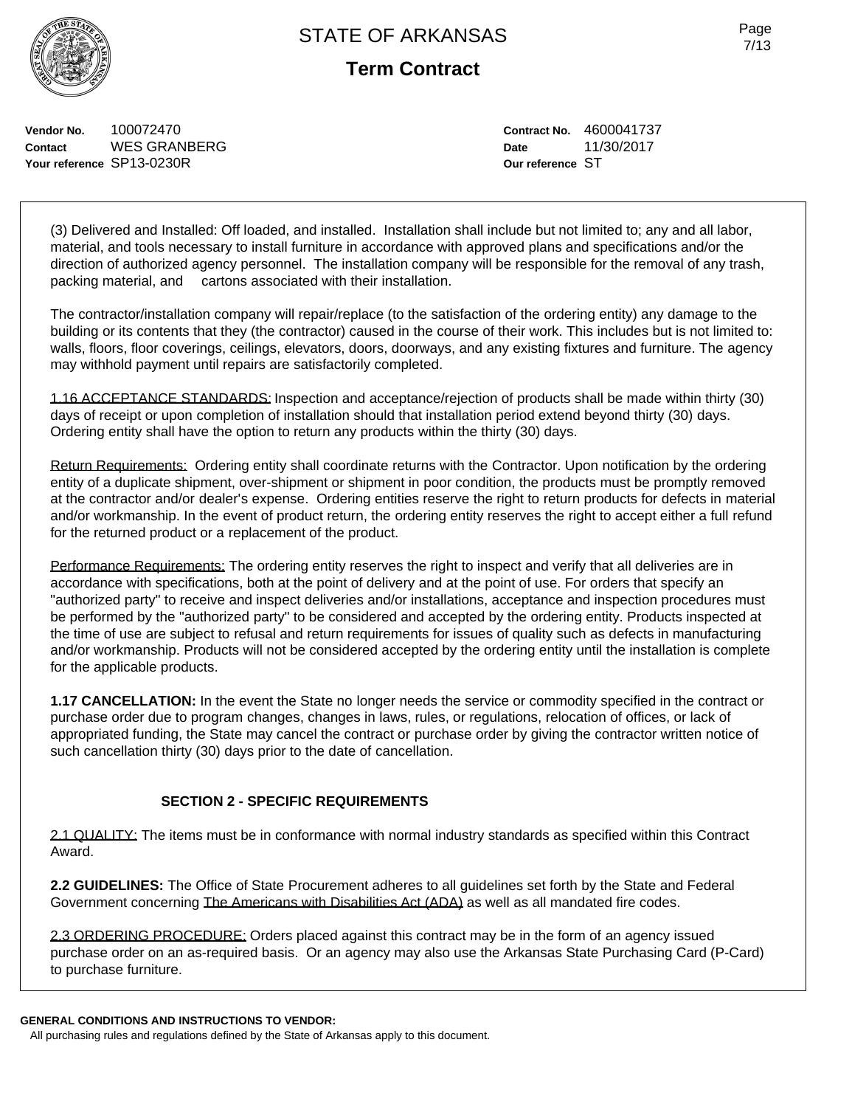**Vendor No.** 100072470 **Contact** WES GRANBERG **Your reference** SP13-0230R

**Contract No.** 4600041737 **Date** 11/30/2017 **Our reference** ST

(3) Delivered and Installed: Off loaded, and installed. Installation shall include but not limited to; any and all labor, material, and tools necessary to install furniture in accordance with approved plans and specifications and/or the direction of authorized agency personnel. The installation company will be responsible for the removal of any trash, packing material, and cartons associated with their installation.

The contractor/installation company will repair/replace (to the satisfaction of the ordering entity) any damage to the building or its contents that they (the contractor) caused in the course of their work. This includes but is not limited to: walls, floors, floor coverings, ceilings, elevators, doors, doorways, and any existing fixtures and furniture. The agency may withhold payment until repairs are satisfactorily completed.

1.16 ACCEPTANCE STANDARDS: Inspection and acceptance/rejection of products shall be made within thirty (30) days of receipt or upon completion of installation should that installation period extend beyond thirty (30) days. Ordering entity shall have the option to return any products within the thirty (30) days.

Return Requirements: Ordering entity shall coordinate returns with the Contractor. Upon notification by the ordering entity of a duplicate shipment, over-shipment or shipment in poor condition, the products must be promptly removed at the contractor and/or dealer's expense. Ordering entities reserve the right to return products for defects in material and/or workmanship. In the event of product return, the ordering entity reserves the right to accept either a full refund for the returned product or a replacement of the product.

Performance Requirements: The ordering entity reserves the right to inspect and verify that all deliveries are in accordance with specifications, both at the point of delivery and at the point of use. For orders that specify an "authorized party" to receive and inspect deliveries and/or installations, acceptance and inspection procedures must be performed by the "authorized party" to be considered and accepted by the ordering entity. Products inspected at the time of use are subject to refusal and return requirements for issues of quality such as defects in manufacturing and/or workmanship. Products will not be considered accepted by the ordering entity until the installation is complete for the applicable products.

**1.17 CANCELLATION:** In the event the State no longer needs the service or commodity specified in the contract or purchase order due to program changes, changes in laws, rules, or regulations, relocation of offices, or lack of appropriated funding, the State may cancel the contract or purchase order by giving the contractor written notice of such cancellation thirty (30) days prior to the date of cancellation.

### **SECTION 2 - SPECIFIC REQUIREMENTS**

2.1 QUALITY: The items must be in conformance with normal industry standards as specified within this Contract Award.

**2.2 GUIDELINES:** The Office of State Procurement adheres to all guidelines set forth by the State and Federal Government concerning The Americans with Disabilities Act (ADA) as well as all mandated fire codes.

2.3 ORDERING PROCEDURE: Orders placed against this contract may be in the form of an agency issued purchase order on an as-required basis. Or an agency may also use the Arkansas State Purchasing Card (P-Card) to purchase furniture.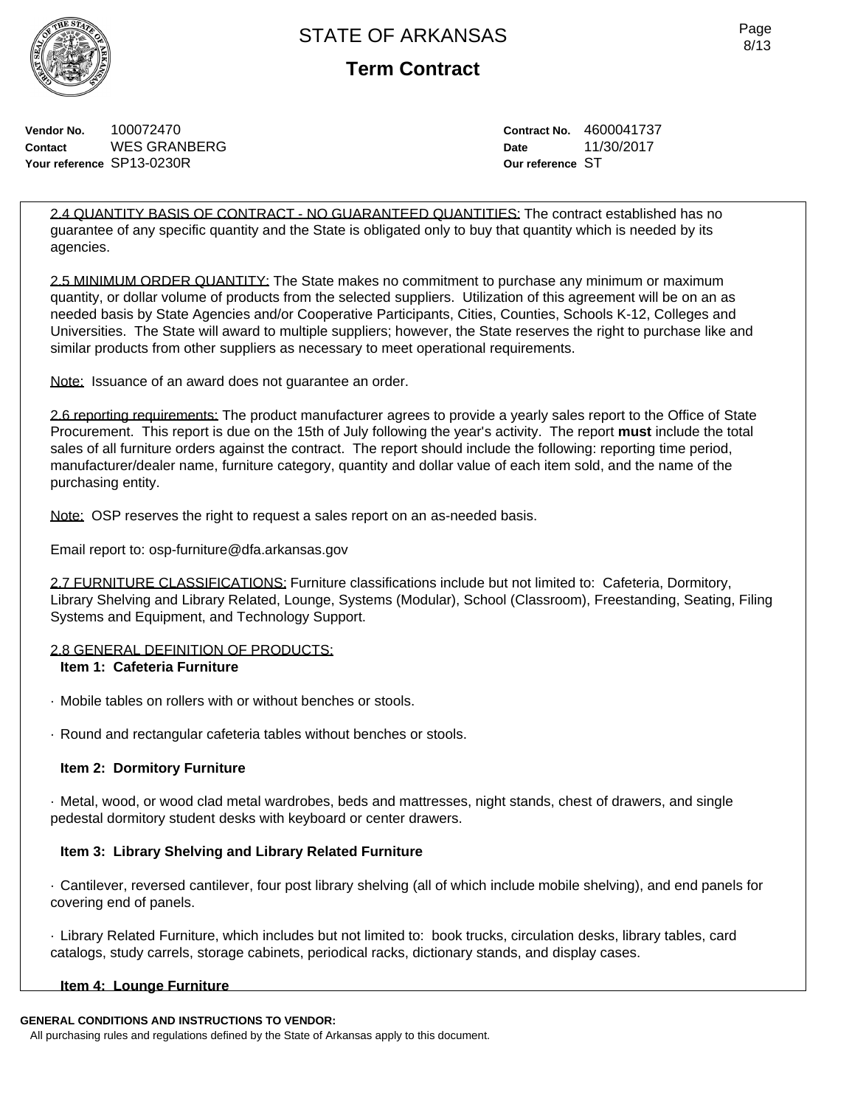**Term Contract**

**Vendor No.** 100072470 **Contact** WES GRANBERG **Your reference** SP13-0230R

**Contract No.** 4600041737 **Date** 11/30/2017 **Our reference** ST

2.4 QUANTITY BASIS OF CONTRACT - NO GUARANTEED QUANTITIES: The contract established has no guarantee of any specific quantity and the State is obligated only to buy that quantity which is needed by its agencies.

2.5 MINIMUM ORDER QUANTITY: The State makes no commitment to purchase any minimum or maximum quantity, or dollar volume of products from the selected suppliers. Utilization of this agreement will be on an as needed basis by State Agencies and/or Cooperative Participants, Cities, Counties, Schools K-12, Colleges and Universities. The State will award to multiple suppliers; however, the State reserves the right to purchase like and similar products from other suppliers as necessary to meet operational requirements.

Note: Issuance of an award does not guarantee an order.

2.6 reporting requirements: The product manufacturer agrees to provide a yearly sales report to the Office of State Procurement. This report is due on the 15th of July following the year's activity. The report **must** include the total sales of all furniture orders against the contract. The report should include the following: reporting time period, manufacturer/dealer name, furniture category, quantity and dollar value of each item sold, and the name of the purchasing entity.

Note: OSP reserves the right to request a sales report on an as-needed basis.

Email report to: osp-furniture@dfa.arkansas.gov

2.7 FURNITURE CLASSIFICATIONS: Furniture classifications include but not limited to: Cafeteria, Dormitory, Library Shelving and Library Related, Lounge, Systems (Modular), School (Classroom), Freestanding, Seating, Filing Systems and Equipment, and Technology Support.

### 2.8 GENERAL DEFINITION OF PRODUCTS:

#### **Item 1: Cafeteria Furniture**

- · Mobile tables on rollers with or without benches or stools.
- · Round and rectangular cafeteria tables without benches or stools.

### **Item 2: Dormitory Furniture**

· Metal, wood, or wood clad metal wardrobes, beds and mattresses, night stands, chest of drawers, and single pedestal dormitory student desks with keyboard or center drawers.

### **Item 3: Library Shelving and Library Related Furniture**

· Cantilever, reversed cantilever, four post library shelving (all of which include mobile shelving), and end panels for covering end of panels.

· Library Related Furniture, which includes but not limited to: book trucks, circulation desks, library tables, card catalogs, study carrels, storage cabinets, periodical racks, dictionary stands, and display cases.

### **Item 4: Lounge Furniture**

#### **GENERAL CONDITIONS AND INSTRUCTIONS TO VENDOR:**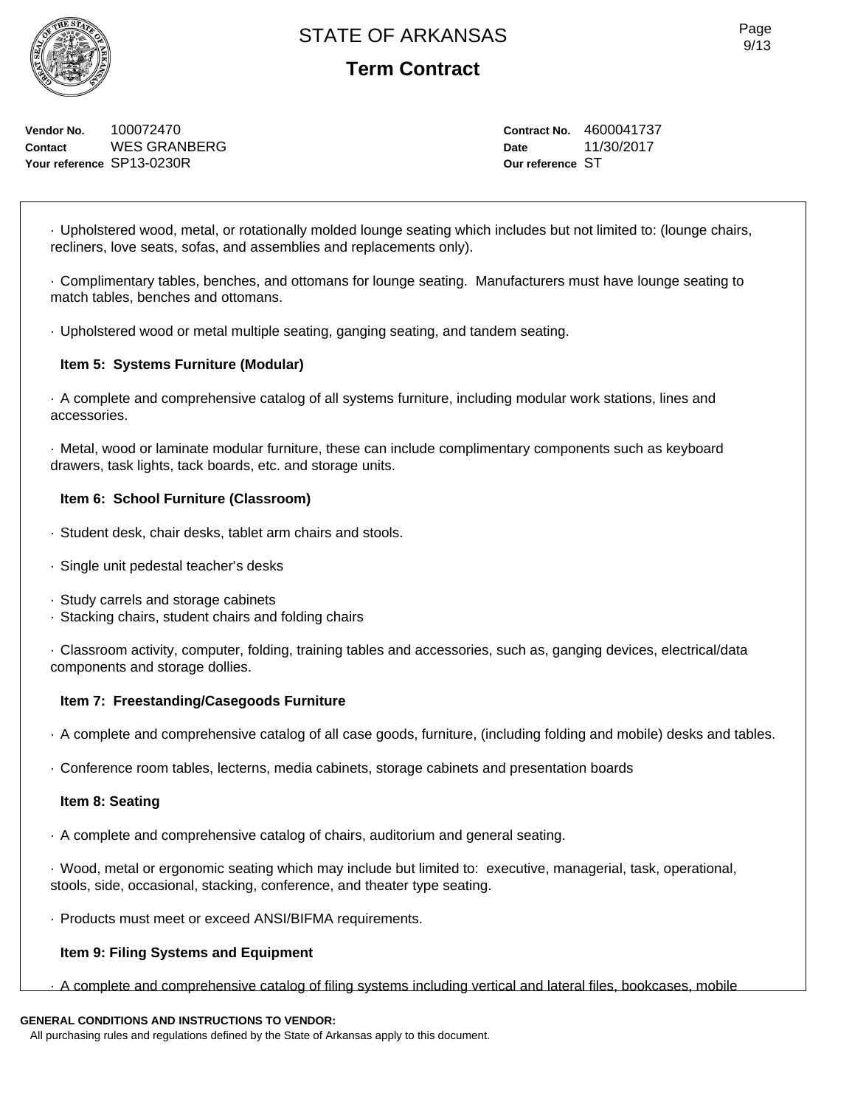**Vendor No.** 100072470 **Contact** WES GRANBERG **Your reference** SP13-0230R

**Contract No.** 4600041737 **Date** 11/30/2017 **Our reference** ST

· Upholstered wood, metal, or rotationally molded lounge seating which includes but not limited to: (lounge chairs, recliners, love seats, sofas, and assemblies and replacements only).

· Complimentary tables, benches, and ottomans for lounge seating. Manufacturers must have lounge seating to match tables, benches and ottomans.

· Upholstered wood or metal multiple seating, ganging seating, and tandem seating.

### **Item 5: Systems Furniture (Modular)**

· A complete and comprehensive catalog of all systems furniture, including modular work stations, lines and accessories.

· Metal, wood or laminate modular furniture, these can include complimentary components such as keyboard drawers, task lights, tack boards, etc. and storage units.

### **Item 6: School Furniture (Classroom)**

- · Student desk, chair desks, tablet arm chairs and stools.
- · Single unit pedestal teacher's desks
- · Study carrels and storage cabinets
- · Stacking chairs, student chairs and folding chairs

· Classroom activity, computer, folding, training tables and accessories, such as, ganging devices, electrical/data components and storage dollies.

### **Item 7: Freestanding/Casegoods Furniture**

· A complete and comprehensive catalog of all case goods, furniture, (including folding and mobile) desks and tables.

· Conference room tables, lecterns, media cabinets, storage cabinets and presentation boards

### **Item 8: Seating**

· A complete and comprehensive catalog of chairs, auditorium and general seating.

· Wood, metal or ergonomic seating which may include but limited to: executive, managerial, task, operational, stools, side, occasional, stacking, conference, and theater type seating.

· Products must meet or exceed ANSI/BIFMA requirements.

## **Item 9: Filing Systems and Equipment**

· A complete and comprehensive catalog of filing systems including vertical and lateral files, bookcases, mobile

## **GENERAL CONDITIONS AND INSTRUCTIONS TO VENDOR:**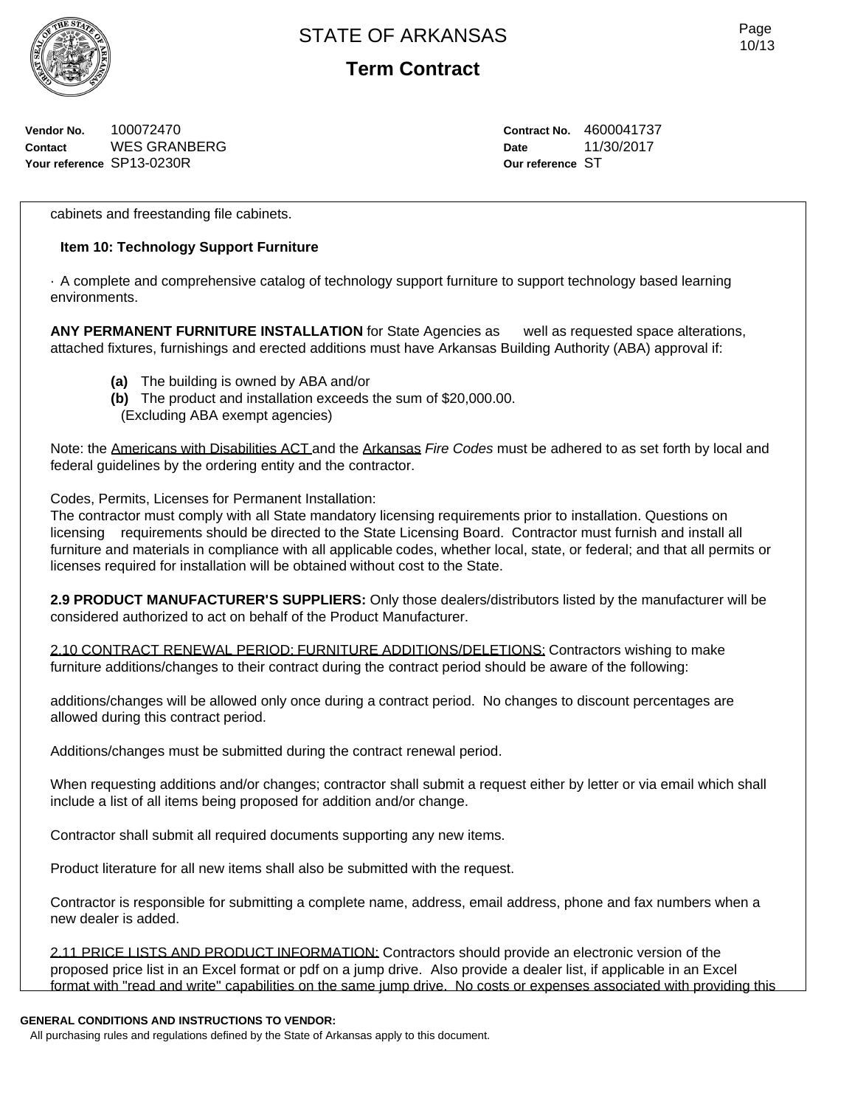

**Term Contract**

**Vendor No.** 100072470 **Contact** WES GRANBERG **Your reference** SP13-0230R

**Contract No.** 4600041737 **Date** 11/30/2017 **Our reference** ST

cabinets and freestanding file cabinets.

### **Item 10: Technology Support Furniture**

· A complete and comprehensive catalog of technology support furniture to support technology based learning environments.

**ANY PERMANENT FURNITURE INSTALLATION** for State Agencies as well as requested space alterations, attached fixtures, furnishings and erected additions must have Arkansas Building Authority (ABA) approval if:

- **(a)** The building is owned by ABA and/or
- **(b)** The product and installation exceeds the sum of \$20,000.00.
- (Excluding ABA exempt agencies)

Note: the Americans with Disabilities ACT and the Arkansas *Fire Codes* must be adhered to as set forth by local and federal guidelines by the ordering entity and the contractor.

Codes, Permits, Licenses for Permanent Installation:

The contractor must comply with all State mandatory licensing requirements prior to installation. Questions on licensing requirements should be directed to the State Licensing Board. Contractor must furnish and install all furniture and materials in compliance with all applicable codes, whether local, state, or federal; and that all permits or licenses required for installation will be obtained without cost to the State.

**2.9 PRODUCT MANUFACTURER'S SUPPLIERS:** Only those dealers/distributors listed by the manufacturer will be considered authorized to act on behalf of the Product Manufacturer.

2.10 CONTRACT RENEWAL PERIOD: FURNITURE ADDITIONS/DELETIONS: Contractors wishing to make furniture additions/changes to their contract during the contract period should be aware of the following:

additions/changes will be allowed only once during a contract period. No changes to discount percentages are allowed during this contract period.

Additions/changes must be submitted during the contract renewal period.

When requesting additions and/or changes; contractor shall submit a request either by letter or via email which shall include a list of all items being proposed for addition and/or change.

Contractor shall submit all required documents supporting any new items.

Product literature for all new items shall also be submitted with the request.

Contractor is responsible for submitting a complete name, address, email address, phone and fax numbers when a new dealer is added.

2.11 PRICE LISTS AND PRODUCT INFORMATION: Contractors should provide an electronic version of the proposed price list in an Excel format or pdf on a jump drive. Also provide a dealer list, if applicable in an Excel format with "read and write" capabilities on the same jump drive. No costs or expenses associated with providing this

#### **GENERAL CONDITIONS AND INSTRUCTIONS TO VENDOR:**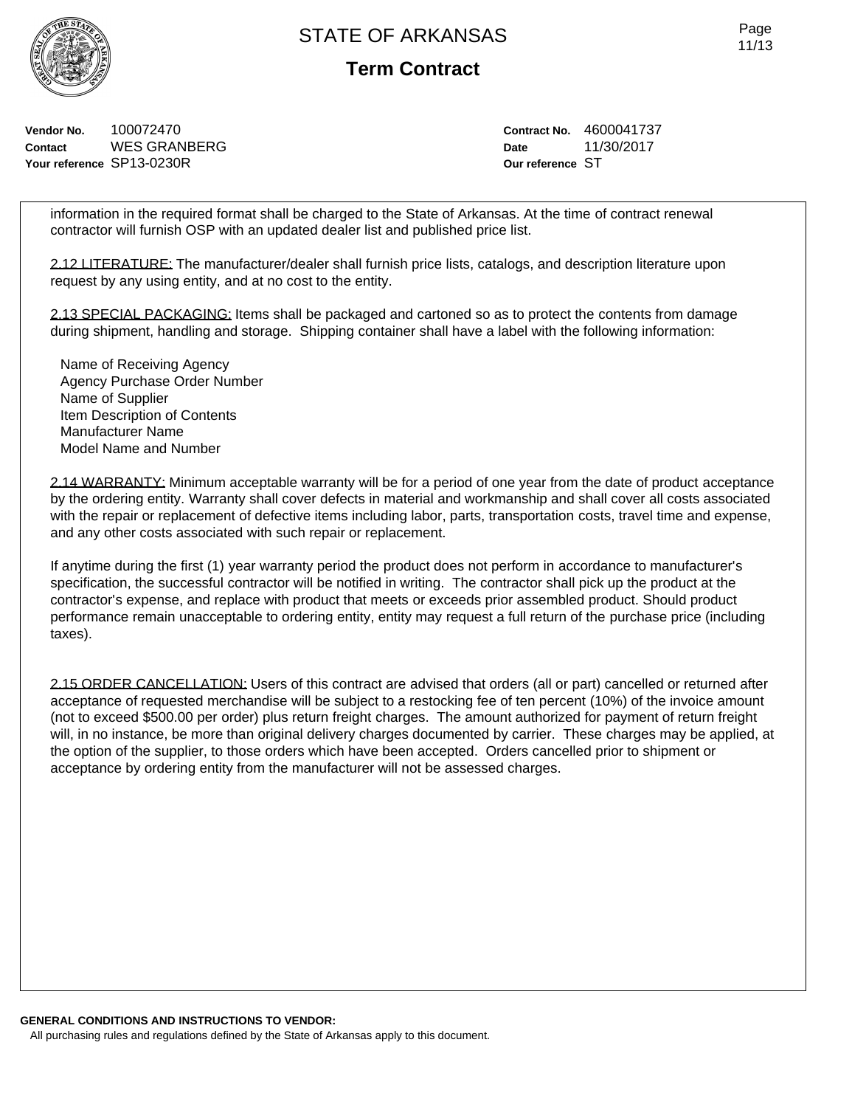**Term Contract**

**Vendor No.** 100072470 **Contact** WES GRANBERG **Your reference** SP13-0230R

**Contract No.** 4600041737 **Date** 11/30/2017 **Our reference** ST

information in the required format shall be charged to the State of Arkansas. At the time of contract renewal contractor will furnish OSP with an updated dealer list and published price list.

2.12 LITERATURE: The manufacturer/dealer shall furnish price lists, catalogs, and description literature upon request by any using entity, and at no cost to the entity.

2.13 SPECIAL PACKAGING: Items shall be packaged and cartoned so as to protect the contents from damage during shipment, handling and storage. Shipping container shall have a label with the following information:

Name of Receiving Agency Agency Purchase Order Number Name of Supplier Item Description of Contents Manufacturer Name Model Name and Number

2.14 WARRANTY: Minimum acceptable warranty will be for a period of one year from the date of product acceptance by the ordering entity. Warranty shall cover defects in material and workmanship and shall cover all costs associated with the repair or replacement of defective items including labor, parts, transportation costs, travel time and expense, and any other costs associated with such repair or replacement.

If anytime during the first (1) year warranty period the product does not perform in accordance to manufacturer's specification, the successful contractor will be notified in writing. The contractor shall pick up the product at the contractor's expense, and replace with product that meets or exceeds prior assembled product. Should product performance remain unacceptable to ordering entity, entity may request a full return of the purchase price (including taxes).

2.15 ORDER CANCELLATION: Users of this contract are advised that orders (all or part) cancelled or returned after acceptance of requested merchandise will be subject to a restocking fee of ten percent (10%) of the invoice amount (not to exceed \$500.00 per order) plus return freight charges. The amount authorized for payment of return freight will, in no instance, be more than original delivery charges documented by carrier. These charges may be applied, at the option of the supplier, to those orders which have been accepted. Orders cancelled prior to shipment or acceptance by ordering entity from the manufacturer will not be assessed charges.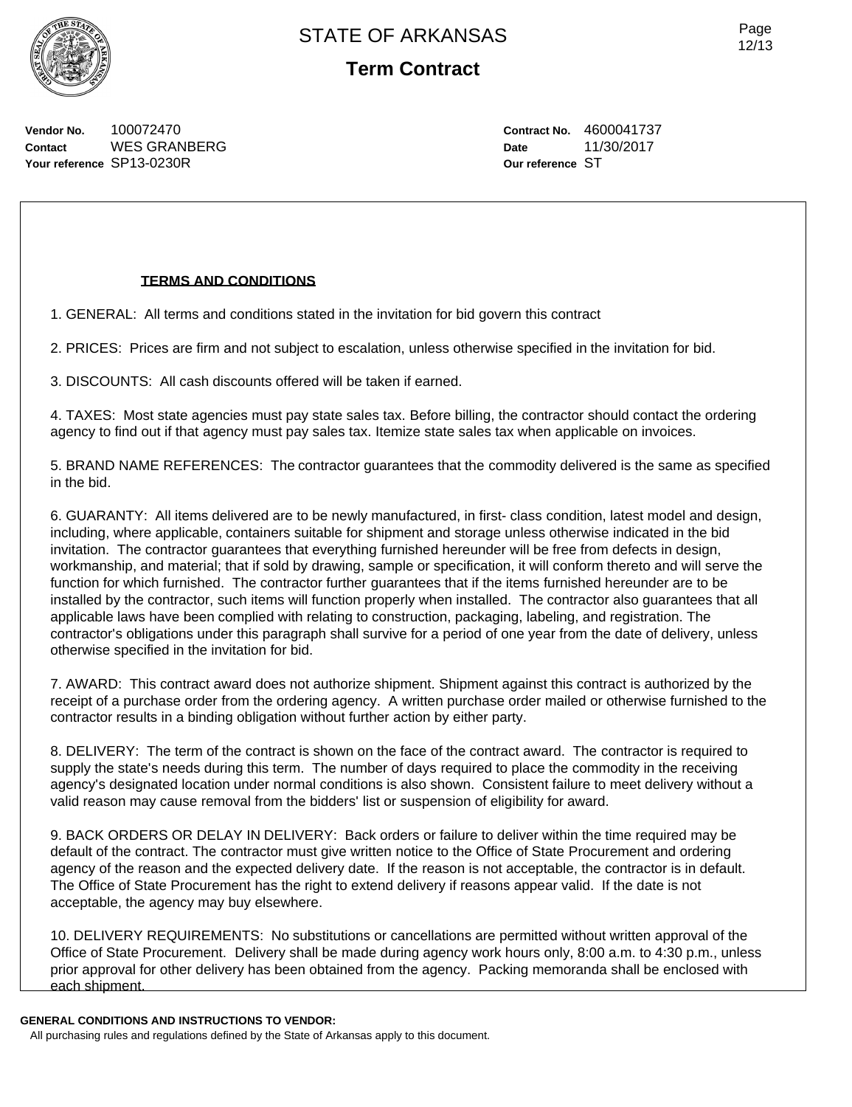

**Vendor No.** 100072470 **Contact** WES GRANBERG **Your reference** SP13-0230R

**Contract No.** 4600041737 **Date** 11/30/2017 **Our reference** ST

#### **TERMS AND CONDITIONS**

1. GENERAL: All terms and conditions stated in the invitation for bid govern this contract

2. PRICES: Prices are firm and not subject to escalation, unless otherwise specified in the invitation for bid.

3. DISCOUNTS: All cash discounts offered will be taken if earned.

4. TAXES: Most state agencies must pay state sales tax. Before billing, the contractor should contact the ordering agency to find out if that agency must pay sales tax. Itemize state sales tax when applicable on invoices.

5. BRAND NAME REFERENCES: The contractor guarantees that the commodity delivered is the same as specified in the bid.

6. GUARANTY: All items delivered are to be newly manufactured, in first- class condition, latest model and design, including, where applicable, containers suitable for shipment and storage unless otherwise indicated in the bid invitation. The contractor guarantees that everything furnished hereunder will be free from defects in design, workmanship, and material; that if sold by drawing, sample or specification, it will conform thereto and will serve the function for which furnished. The contractor further guarantees that if the items furnished hereunder are to be installed by the contractor, such items will function properly when installed. The contractor also guarantees that all applicable laws have been complied with relating to construction, packaging, labeling, and registration. The contractor's obligations under this paragraph shall survive for a period of one year from the date of delivery, unless otherwise specified in the invitation for bid.

7. AWARD: This contract award does not authorize shipment. Shipment against this contract is authorized by the receipt of a purchase order from the ordering agency. A written purchase order mailed or otherwise furnished to the contractor results in a binding obligation without further action by either party.

8. DELIVERY: The term of the contract is shown on the face of the contract award. The contractor is required to supply the state's needs during this term. The number of days required to place the commodity in the receiving agency's designated location under normal conditions is also shown. Consistent failure to meet delivery without a valid reason may cause removal from the bidders' list or suspension of eligibility for award.

9. BACK ORDERS OR DELAY IN DELIVERY: Back orders or failure to deliver within the time required may be default of the contract. The contractor must give written notice to the Office of State Procurement and ordering agency of the reason and the expected delivery date. If the reason is not acceptable, the contractor is in default. The Office of State Procurement has the right to extend delivery if reasons appear valid. If the date is not acceptable, the agency may buy elsewhere.

10. DELIVERY REQUIREMENTS: No substitutions or cancellations are permitted without written approval of the Office of State Procurement. Delivery shall be made during agency work hours only, 8:00 a.m. to 4:30 p.m., unless prior approval for other delivery has been obtained from the agency. Packing memoranda shall be enclosed with each shipment.

#### **GENERAL CONDITIONS AND INSTRUCTIONS TO VENDOR:**